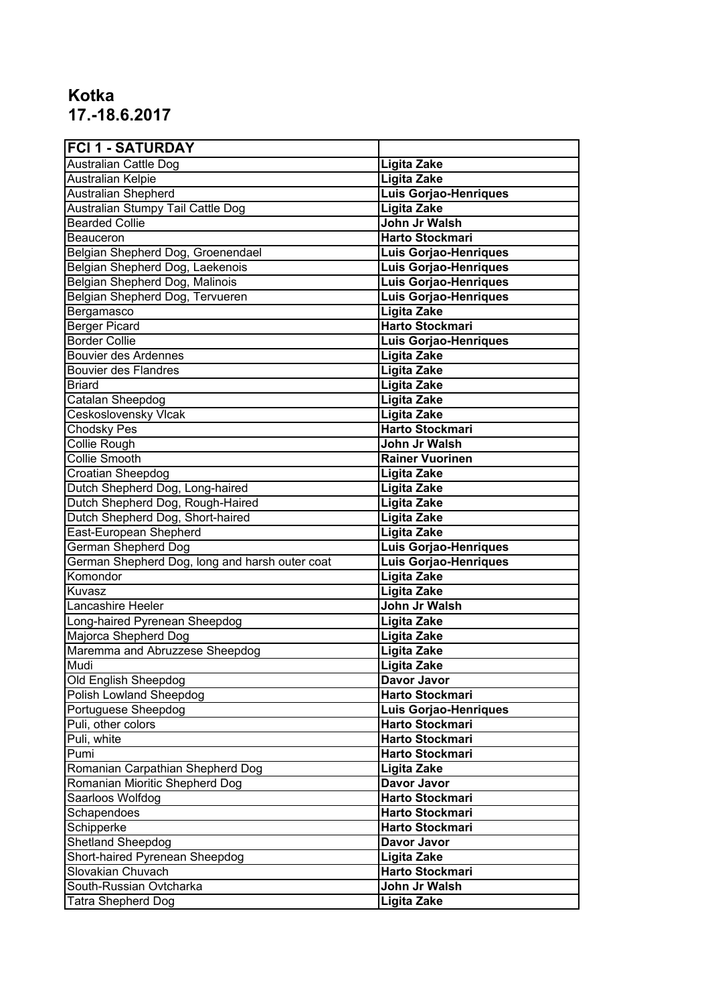## **Kotka 17.-18.6.2017**

| <b>FCI 1 - SATURDAY</b>                        |                              |
|------------------------------------------------|------------------------------|
| Australian Cattle Dog                          | Ligita Zake                  |
| <b>Australian Kelpie</b>                       | <b>Ligita Zake</b>           |
| <b>Australian Shepherd</b>                     | <b>Luis Gorjao-Henriques</b> |
| Australian Stumpy Tail Cattle Dog              | Ligita Zake                  |
| <b>Bearded Collie</b>                          | John Jr Walsh                |
| Beauceron                                      | <b>Harto Stockmari</b>       |
| Belgian Shepherd Dog, Groenendael              | <b>Luis Gorjao-Henriques</b> |
| Belgian Shepherd Dog, Laekenois                | <b>Luis Gorjao-Henriques</b> |
| Belgian Shepherd Dog, Malinois                 | <b>Luis Gorjao-Henriques</b> |
| Belgian Shepherd Dog, Tervueren                | <b>Luis Gorjao-Henriques</b> |
| Bergamasco                                     | Ligita Zake                  |
| <b>Berger Picard</b>                           | <b>Harto Stockmari</b>       |
| <b>Border Collie</b>                           | Luis Gorjao-Henriques        |
| <b>Bouvier des Ardennes</b>                    | Ligita Zake                  |
| <b>Bouvier des Flandres</b>                    | <b>Ligita Zake</b>           |
| Briard                                         | <b>Ligita Zake</b>           |
| Catalan Sheepdog                               | <b>Ligita Zake</b>           |
| <b>Ceskoslovensky Vlcak</b>                    | <b>Ligita Zake</b>           |
| Chodsky Pes                                    | <b>Harto Stockmari</b>       |
| Collie Rough                                   | John Jr Walsh                |
| <b>Collie Smooth</b>                           | <b>Rainer Vuorinen</b>       |
| Croatian Sheepdog                              | Ligita Zake                  |
| Dutch Shepherd Dog, Long-haired                | <b>Ligita Zake</b>           |
| Dutch Shepherd Dog, Rough-Haired               | <b>Ligita Zake</b>           |
| Dutch Shepherd Dog, Short-haired               | Ligita Zake                  |
| East-European Shepherd                         | Ligita Zake                  |
| German Shepherd Dog                            | Luis Gorjao-Henriques        |
| German Shepherd Dog, long and harsh outer coat | Luis Gorjao-Henriques        |
| Komondor                                       | Ligita Zake                  |
| Kuvasz                                         | Ligita Zake                  |
| Lancashire Heeler                              | John Jr Walsh                |
| Long-haired Pyrenean Sheepdog                  | Ligita Zake                  |
| Majorca Shepherd Dog                           | Ligita Zake                  |
| Maremma and Abruzzese Sheepdog                 | <b>Ligita Zake</b>           |
| Mudi                                           | <b>Ligita Zake</b>           |
| <b>Old English Sheepdog</b>                    | Davor Javor                  |
| <b>Polish Lowland Sheepdog</b>                 | <b>Harto Stockmari</b>       |
| Portuguese Sheepdog                            | Luis Gorjao-Henriques        |
| Puli, other colors                             | Harto Stockmari              |
| Puli, white                                    | <b>Harto Stockmari</b>       |
| Pumi                                           | <b>Harto Stockmari</b>       |
| Romanian Carpathian Shepherd Dog               | Ligita Zake                  |
| Romanian Mioritic Shepherd Dog                 | Davor Javor                  |
| Saarloos Wolfdog                               | Harto Stockmari              |
| Schapendoes                                    | <b>Harto Stockmari</b>       |
| Schipperke                                     | <b>Harto Stockmari</b>       |
| <b>Shetland Sheepdog</b>                       | Davor Javor                  |
| Short-haired Pyrenean Sheepdog                 | Ligita Zake                  |
| Slovakian Chuvach                              | Harto Stockmari              |
| South-Russian Ovtcharka                        | John Jr Walsh                |
| Tatra Shepherd Dog                             | Ligita Zake                  |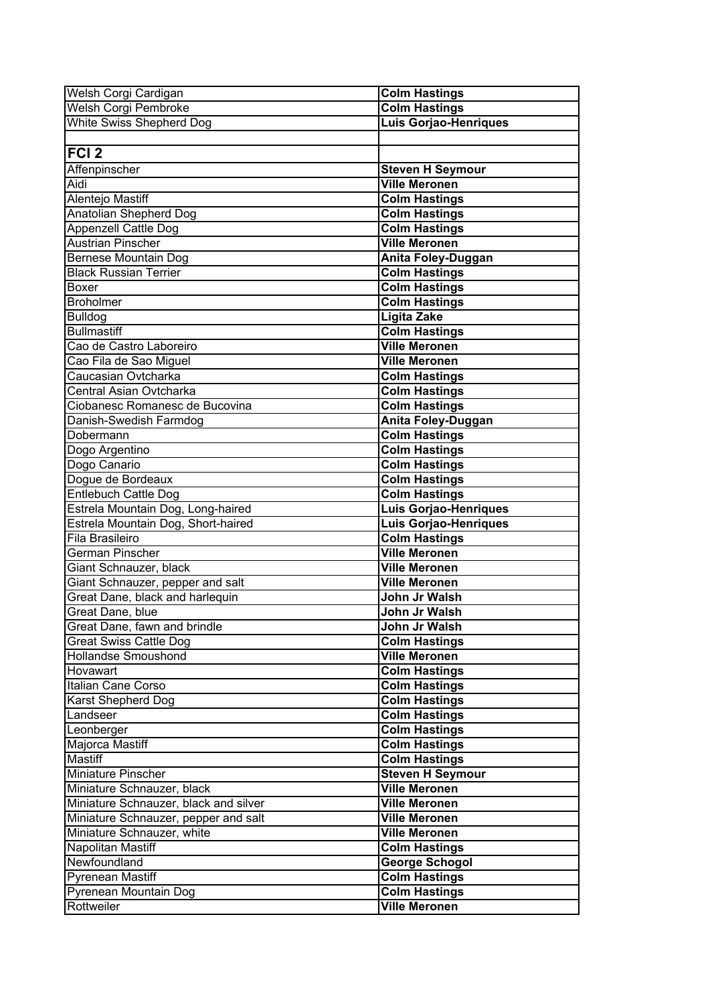| Welsh Corgi Cardigan                  | <b>Colm Hastings</b>         |
|---------------------------------------|------------------------------|
| <b>Welsh Corgi Pembroke</b>           | <b>Colm Hastings</b>         |
| <b>White Swiss Shepherd Dog</b>       | <b>Luis Gorjao-Henriques</b> |
|                                       |                              |
| $\overline{FCI}$ 2                    |                              |
| Affenpinscher                         | <b>Steven H Seymour</b>      |
| Aidi                                  | <b>Ville Meronen</b>         |
| Alentejo Mastiff                      | <b>Colm Hastings</b>         |
| <b>Anatolian Shepherd Dog</b>         | <b>Colm Hastings</b>         |
| <b>Appenzell Cattle Dog</b>           | <b>Colm Hastings</b>         |
| <b>Austrian Pinscher</b>              | <b>Ville Meronen</b>         |
| Bernese Mountain Dog                  | Anita Foley-Duggan           |
| <b>Black Russian Terrier</b>          | <b>Colm Hastings</b>         |
| Boxer                                 | <b>Colm Hastings</b>         |
| lBroholmer                            | <b>Colm Hastings</b>         |
| <b>Bulldog</b>                        | <b>Ligita Zake</b>           |
| <b>Bullmastiff</b>                    | <b>Colm Hastings</b>         |
| Cao de Castro Laboreiro               | <b>Ville Meronen</b>         |
| Cao Fila de Sao Miguel                | <b>Ville Meronen</b>         |
| Caucasian Ovtcharka                   | <b>Colm Hastings</b>         |
| Central Asian Ovtcharka               | <b>Colm Hastings</b>         |
| Ciobanesc Romanesc de Bucovina        | <b>Colm Hastings</b>         |
| Danish-Swedish Farmdog                | Anita Foley-Duggan           |
| Dobermann                             | <b>Colm Hastings</b>         |
| Dogo Argentino                        | <b>Colm Hastings</b>         |
| Dogo Canario                          | <b>Colm Hastings</b>         |
| Dogue de Bordeaux                     | <b>Colm Hastings</b>         |
| Entlebuch Cattle Dog                  | <b>Colm Hastings</b>         |
| Estrela Mountain Dog, Long-haired     | <b>Luis Gorjao-Henriques</b> |
| Estrela Mountain Dog, Short-haired    | <b>Luis Gorjao-Henriques</b> |
| Fila Brasileiro                       | <b>Colm Hastings</b>         |
| German Pinscher                       | <b>Ville Meronen</b>         |
| Giant Schnauzer, black                | <b>Ville Meronen</b>         |
| Giant Schnauzer, pepper and salt      | <b>Ville Meronen</b>         |
| Great Dane, black and harlequin       | John Jr Walsh                |
| Great Dane, blue                      | John Jr Walsh                |
| Great Dane, fawn and brindle          | John Jr Walsh                |
| <b>Great Swiss Cattle Dog</b>         | <b>Colm Hastings</b>         |
| Hollandse Smoushond                   | <b>Ville Meronen</b>         |
| Hovawart                              | <b>Colm Hastings</b>         |
| Italian Cane Corso                    | <b>Colm Hastings</b>         |
| Karst Shepherd Dog                    | <b>Colm Hastings</b>         |
| Landseer                              | <b>Colm Hastings</b>         |
| Leonberger                            | <b>Colm Hastings</b>         |
| Majorca Mastiff                       | <b>Colm Hastings</b>         |
| Mastiff                               | <b>Colm Hastings</b>         |
| Miniature Pinscher                    | <b>Steven H Seymour</b>      |
| Miniature Schnauzer, black            | <b>Ville Meronen</b>         |
| Miniature Schnauzer, black and silver | <b>Ville Meronen</b>         |
| Miniature Schnauzer, pepper and salt  | <b>Ville Meronen</b>         |
| Miniature Schnauzer, white            | <b>Ville Meronen</b>         |
| Napolitan Mastiff                     | <b>Colm Hastings</b>         |
| Newfoundland                          | <b>George Schogol</b>        |
| <b>Pyrenean Mastiff</b>               | <b>Colm Hastings</b>         |
| <b>Pyrenean Mountain Dog</b>          | <b>Colm Hastings</b>         |
| Rottweiler                            | <b>Ville Meronen</b>         |
|                                       |                              |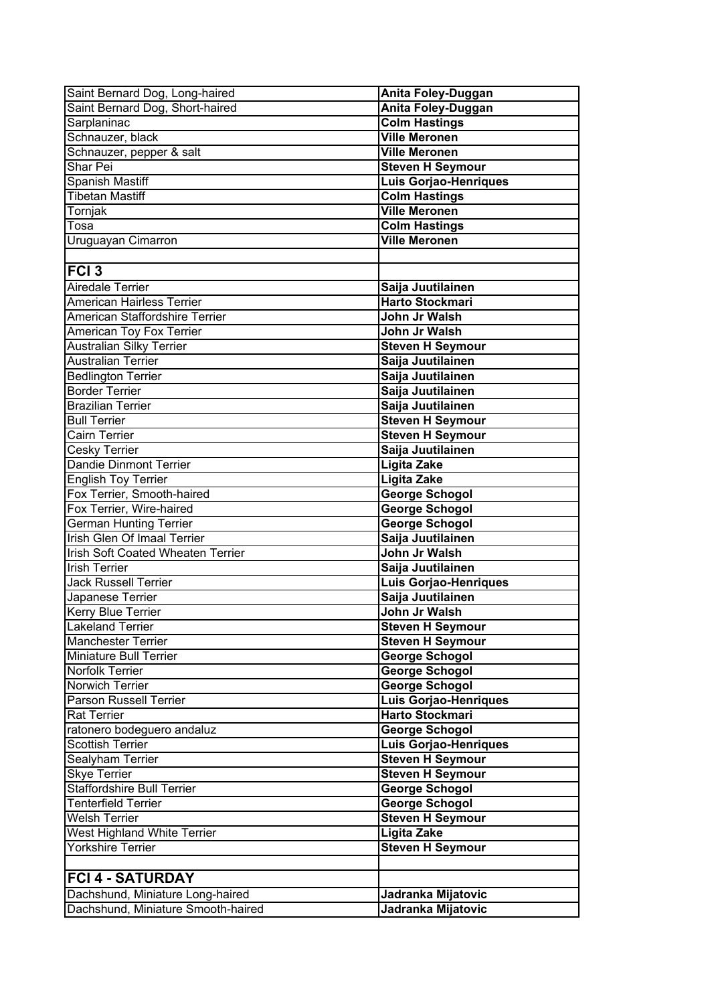| Saint Bernard Dog, Long-haired                                  | Anita Foley-Duggan                               |
|-----------------------------------------------------------------|--------------------------------------------------|
| Saint Bernard Dog, Short-haired                                 | Anita Foley-Duggan                               |
| Sarplaninac                                                     | <b>Colm Hastings</b>                             |
| Schnauzer, black                                                | <b>Ville Meronen</b>                             |
| Schnauzer, pepper & salt                                        | <b>Ville Meronen</b>                             |
| Shar Pei                                                        | <b>Steven H Seymour</b>                          |
| Spanish Mastiff                                                 | <b>Luis Gorjao-Henriques</b>                     |
| <b>Tibetan Mastiff</b>                                          | <b>Colm Hastings</b>                             |
| Tornjak                                                         | <b>Ville Meronen</b>                             |
| Tosa                                                            | <b>Colm Hastings</b>                             |
| Uruguayan Cimarron                                              | <b>Ville Meronen</b>                             |
|                                                                 |                                                  |
| FCI <sub>3</sub>                                                |                                                  |
| Airedale Terrier                                                | Saija Juutilainen                                |
| American Hairless Terrier                                       | <b>Harto Stockmari</b>                           |
| American Staffordshire Terrier                                  | John Jr Walsh                                    |
| American Toy Fox Terrier                                        | John Jr Walsh                                    |
| <b>Australian Silky Terrier</b>                                 | <b>Steven H Seymour</b>                          |
| <b>Australian Terrier</b>                                       | Saija Juutilainen                                |
| <b>Bedlington Terrier</b>                                       | Saija Juutilainen                                |
| <b>Border Terrier</b>                                           | Saija Juutilainen                                |
| <b>Brazilian Terrier</b>                                        | Saija Juutilainen                                |
| <b>Bull Terrier</b>                                             | <b>Steven H Seymour</b>                          |
| <b>Cairn Terrier</b>                                            | <b>Steven H Seymour</b>                          |
| Cesky Terrier                                                   | Saija Juutilainen                                |
| <b>Dandie Dinmont Terrier</b>                                   | <b>Ligita Zake</b>                               |
| <b>English Toy Terrier</b>                                      | <b>Ligita Zake</b>                               |
| Fox Terrier, Smooth-haired                                      | <b>George Schogol</b>                            |
| Fox Terrier, Wire-haired                                        | <b>George Schogol</b>                            |
| <b>German Hunting Terrier</b>                                   | <b>George Schogol</b>                            |
| Irish Glen Of Imaal Terrier                                     | Saija Juutilainen                                |
| <b>Irish Soft Coated Wheaten Terrier</b>                        | John Jr Walsh                                    |
| <b>Irish Terrier</b>                                            | Saija Juutilainen                                |
| <b>Jack Russell Terrier</b>                                     | Luis Gorjao-Henriques                            |
| Japanese Terrier                                                | Saija Juutilainen                                |
| <b>Kerry Blue Terrier</b>                                       | John Jr Walsh                                    |
| <b>Lakeland Terrier</b>                                         | <b>Steven H Seymour</b>                          |
| <b>Manchester Terrier</b>                                       | <b>Steven H Seymour</b>                          |
| Miniature Bull Terrier                                          | <b>George Schogol</b>                            |
| Norfolk Terrier                                                 | <b>George Schogol</b>                            |
| Norwich Terrier                                                 | <b>George Schogol</b>                            |
| <b>Parson Russell Terrier</b>                                   | <b>Luis Gorjao-Henriques</b>                     |
| <b>Rat Terrier</b>                                              | <b>Harto Stockmari</b>                           |
| ratonero bodeguero andaluz<br><b>Scottish Terrier</b>           | <b>George Schogol</b>                            |
|                                                                 | <b>Luis Gorjao-Henriques</b>                     |
| Sealyham Terrier<br><b>Skye Terrier</b>                         | <b>Steven H Seymour</b>                          |
|                                                                 | <b>Steven H Seymour</b>                          |
| <b>Staffordshire Bull Terrier</b><br><b>Tenterfield Terrier</b> | <b>George Schogol</b>                            |
| <b>Welsh Terrier</b>                                            | <b>George Schogol</b><br><b>Steven H Seymour</b> |
| West Highland White Terrier                                     | <b>Ligita Zake</b>                               |
| <b>Yorkshire Terrier</b>                                        | <b>Steven H Seymour</b>                          |
|                                                                 |                                                  |
| <b>FCI 4 - SATURDAY</b>                                         |                                                  |
|                                                                 |                                                  |
| Dachshund, Miniature Long-haired                                | Jadranka Mijatovic                               |
| Dachshund, Miniature Smooth-haired                              | Jadranka Mijatovic                               |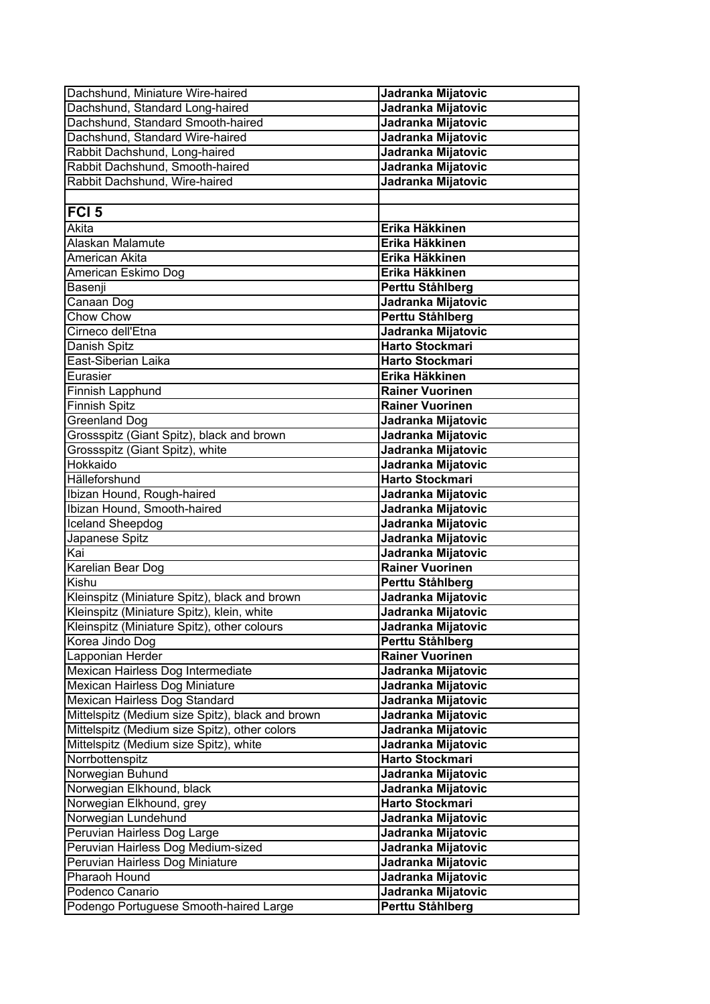| Dachshund, Miniature Wire-haired                          | Jadranka Mijatovic                       |
|-----------------------------------------------------------|------------------------------------------|
| Dachshund, Standard Long-haired                           | Jadranka Mijatovic                       |
| Dachshund, Standard Smooth-haired                         | Jadranka Mijatovic                       |
| Dachshund, Standard Wire-haired                           | Jadranka Mijatovic                       |
| Rabbit Dachshund, Long-haired                             | Jadranka Mijatovic                       |
| Rabbit Dachshund, Smooth-haired                           | Jadranka Mijatovic                       |
| Rabbit Dachshund, Wire-haired                             | Jadranka Mijatovic                       |
|                                                           |                                          |
| FCI <sub>5</sub>                                          |                                          |
| Akita                                                     | Erika Häkkinen                           |
| Alaskan Malamute                                          | Erika Häkkinen                           |
| American Akita                                            | Erika Häkkinen                           |
| American Eskimo Dog                                       | Erika Häkkinen                           |
| Basenji                                                   | Perttu Ståhlberg                         |
| Canaan Dog                                                | Jadranka Mijatovic                       |
| <b>Chow Chow</b>                                          | Perttu Ståhlberg                         |
| Cirneco dell'Etna                                         | Jadranka Mijatovic                       |
| Danish Spitz                                              | <b>Harto Stockmari</b>                   |
| East-Siberian Laika                                       | <b>Harto Stockmari</b>                   |
| Eurasier                                                  | Erika Häkkinen                           |
| Finnish Lapphund                                          | <b>Rainer Vuorinen</b>                   |
| <b>Finnish Spitz</b>                                      | <b>Rainer Vuorinen</b>                   |
| <b>Greenland Dog</b>                                      | Jadranka Mijatovic                       |
| Grossspitz (Giant Spitz), black and brown                 | Jadranka Mijatovic                       |
| Grossspitz (Giant Spitz), white                           | Jadranka Mijatovic                       |
| Hokkaido                                                  | Jadranka Mijatovic                       |
| <b>Hälleforshund</b>                                      | <b>Harto Stockmari</b>                   |
| Ibizan Hound, Rough-haired                                | Jadranka Mijatovic                       |
| Ibizan Hound, Smooth-haired                               | Jadranka Mijatovic                       |
| Iceland Sheepdog                                          | Jadranka Mijatovic                       |
| Japanese Spitz                                            | Jadranka Mijatovic                       |
| Kai                                                       | Jadranka Mijatovic                       |
| Karelian Bear Dog                                         | <b>Rainer Vuorinen</b>                   |
| Kishu                                                     | Perttu Ståhlberg                         |
| Kleinspitz (Miniature Spitz), black and brown             | Jadranka Mijatovic                       |
| Kleinspitz (Miniature Spitz), klein, white                | Jadranka Mijatovic                       |
| Kleinspitz (Miniature Spitz), other colours               | Jadranka Mijatovic                       |
| Korea Jindo Dog                                           | Perttu Ståhlberg                         |
| Lapponian Herder                                          | <b>Rainer Vuorinen</b>                   |
| Mexican Hairless Dog Intermediate                         | Jadranka Mijatovic                       |
| Mexican Hairless Dog Miniature                            | Jadranka Mijatovic                       |
| Mexican Hairless Dog Standard                             | Jadranka Mijatovic                       |
| Mittelspitz (Medium size Spitz), black and brown          | Jadranka Mijatovic                       |
| Mittelspitz (Medium size Spitz), other colors             | Jadranka Mijatovic                       |
| Mittelspitz (Medium size Spitz), white<br>Norrbottenspitz | Jadranka Mijatovic<br>Harto Stockmari    |
| Norwegian Buhund                                          | Jadranka Mijatovic                       |
| Norwegian Elkhound, black                                 |                                          |
| Norwegian Elkhound, grey                                  | Jadranka Mijatovic<br>Harto Stockmari    |
| Norwegian Lundehund                                       |                                          |
| Peruvian Hairless Dog Large                               | Jadranka Mijatovic<br>Jadranka Mijatovic |
| Peruvian Hairless Dog Medium-sized                        | Jadranka Mijatovic                       |
| Peruvian Hairless Dog Miniature                           | Jadranka Mijatovic                       |
| Pharaoh Hound                                             | Jadranka Mijatovic                       |
| Podenco Canario                                           | Jadranka Mijatovic                       |
| Podengo Portuguese Smooth-haired Large                    | Perttu Ståhlberg                         |
|                                                           |                                          |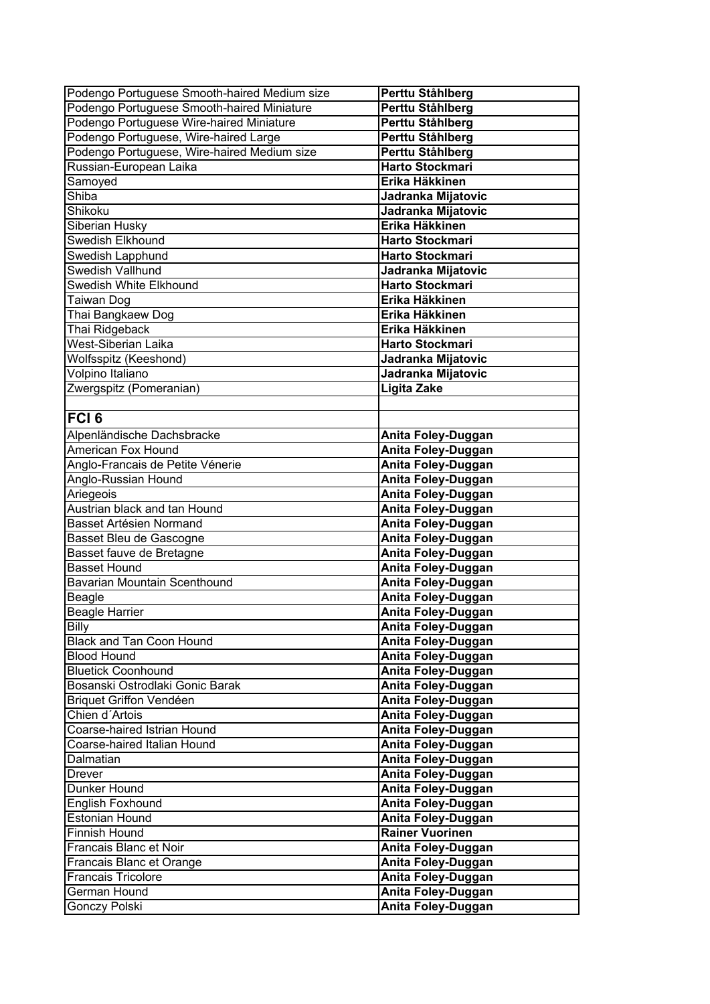| Podengo Portuguese Smooth-haired Medium size | Perttu Ståhlberg       |
|----------------------------------------------|------------------------|
| Podengo Portuguese Smooth-haired Miniature   | Perttu Ståhlberg       |
| Podengo Portuguese Wire-haired Miniature     | Perttu Ståhlberg       |
| Podengo Portuguese, Wire-haired Large        | Perttu Ståhlberg       |
| Podengo Portuguese, Wire-haired Medium size  | Perttu Ståhlberg       |
| Russian-European Laika                       | <b>Harto Stockmari</b> |
| Samoyed                                      | Erika Häkkinen         |
| Shiba                                        | Jadranka Mijatovic     |
| Shikoku                                      | Jadranka Mijatovic     |
| Siberian Husky                               | Erika Häkkinen         |
| <b>Swedish Elkhound</b>                      | <b>Harto Stockmari</b> |
| Swedish Lapphund                             | Harto Stockmari        |
| Swedish Vallhund                             | Jadranka Mijatovic     |
| Swedish White Elkhound                       | <b>Harto Stockmari</b> |
| Taiwan Dog                                   | Erika Häkkinen         |
| Thai Bangkaew Dog                            | Erika Häkkinen         |
| Thai Ridgeback                               | Erika Häkkinen         |
| West-Siberian Laika                          | <b>Harto Stockmari</b> |
| Wolfsspitz (Keeshond)                        | Jadranka Mijatovic     |
| Volpino Italiano                             | Jadranka Mijatovic     |
| Zwergspitz (Pomeranian)                      | <b>Ligita Zake</b>     |
|                                              |                        |
| <b>FCI 6</b>                                 |                        |
| Alpenländische Dachsbracke                   | Anita Foley-Duggan     |
| <b>American Fox Hound</b>                    | Anita Foley-Duggan     |
| Anglo-Francais de Petite Vénerie             | Anita Foley-Duggan     |
| Anglo-Russian Hound                          | Anita Foley-Duggan     |
| Ariegeois                                    | Anita Foley-Duggan     |
| Austrian black and tan Hound                 | Anita Foley-Duggan     |
| <b>Basset Artésien Normand</b>               | Anita Foley-Duggan     |
| Basset Bleu de Gascogne                      | Anita Foley-Duggan     |
| Basset fauve de Bretagne                     | Anita Foley-Duggan     |
| <b>Basset Hound</b>                          | Anita Foley-Duggan     |
| Bavarian Mountain Scenthound                 | Anita Foley-Duggan     |
| Beagle                                       | Anita Foley-Duggan     |
| <b>Beagle Harrier</b>                        | Anita Foley-Duggan     |
| <b>Billy</b>                                 | Anita Foley-Duggan     |
| <b>Black and Tan Coon Hound</b>              | Anita Foley-Duggan     |
| <b>Blood Hound</b>                           | Anita Foley-Duggan     |
| <b>Bluetick Coonhound</b>                    | Anita Foley-Duggan     |
| Bosanski Ostrodlaki Gonic Barak              | Anita Foley-Duggan     |
| <b>Briquet Griffon Vendéen</b>               | Anita Foley-Duggan     |
| Chien d'Artois                               | Anita Foley-Duggan     |
| Coarse-haired Istrian Hound                  | Anita Foley-Duggan     |
| Coarse-haired Italian Hound                  | Anita Foley-Duggan     |
| Dalmatian                                    | Anita Foley-Duggan     |
| Drever                                       | Anita Foley-Duggan     |
| Dunker Hound                                 | Anita Foley-Duggan     |
| <b>English Foxhound</b>                      | Anita Foley-Duggan     |
| <b>Estonian Hound</b>                        | Anita Foley-Duggan     |
| <b>Finnish Hound</b>                         | <b>Rainer Vuorinen</b> |
| Francais Blanc et Noir                       | Anita Foley-Duggan     |
| Francais Blanc et Orange                     | Anita Foley-Duggan     |
| <b>Francais Tricolore</b>                    | Anita Foley-Duggan     |
| German Hound                                 | Anita Foley-Duggan     |
| Gonczy Polski                                | Anita Foley-Duggan     |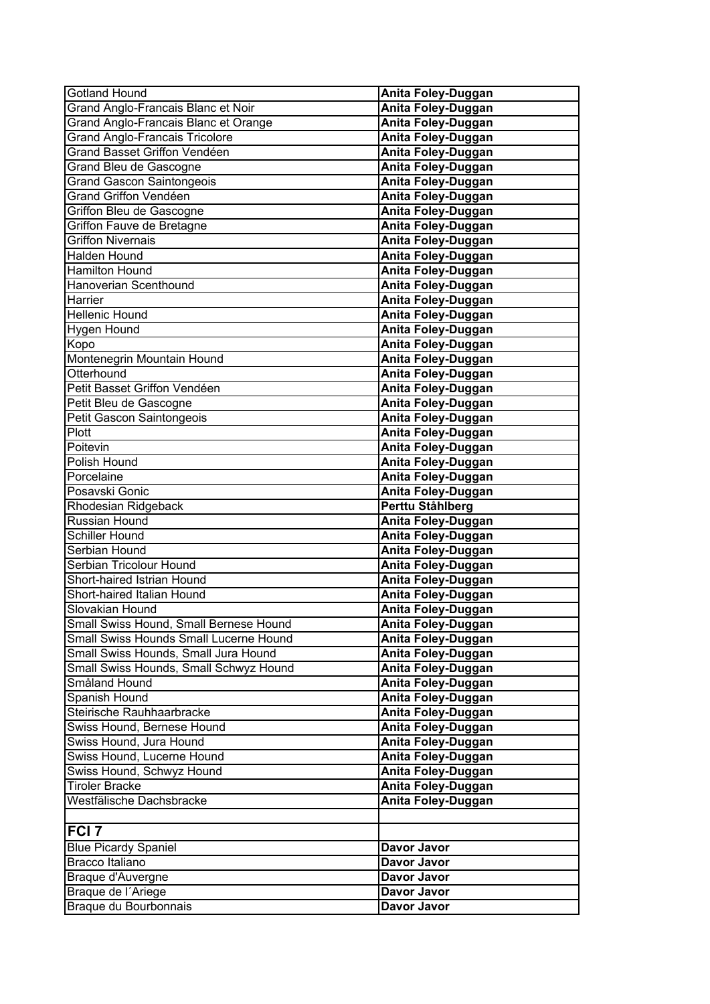| <b>Gotland Hound</b>                   | Anita Foley-Duggan        |
|----------------------------------------|---------------------------|
| Grand Anglo-Francais Blanc et Noir     | Anita Foley-Duggan        |
| Grand Anglo-Francais Blanc et Orange   | Anita Foley-Duggan        |
| <b>Grand Anglo-Francais Tricolore</b>  | Anita Foley-Duggan        |
| <b>Grand Basset Griffon Vendéen</b>    | Anita Foley-Duggan        |
| Grand Bleu de Gascogne                 | Anita Foley-Duggan        |
| <b>Grand Gascon Saintongeois</b>       | Anita Foley-Duggan        |
| <b>Grand Griffon Vendéen</b>           | <b>Anita Foley-Duggan</b> |
| Griffon Bleu de Gascogne               | <b>Anita Foley-Duggan</b> |
| Griffon Fauve de Bretagne              | <b>Anita Foley-Duggan</b> |
| <b>Griffon Nivernais</b>               | Anita Foley-Duggan        |
| <b>Halden Hound</b>                    | <b>Anita Foley-Duggan</b> |
| <b>Hamilton Hound</b>                  | Anita Foley-Duggan        |
| Hanoverian Scenthound                  | Anita Foley-Duggan        |
| Harrier                                | Anita Foley-Duggan        |
| <b>Hellenic Hound</b>                  | Anita Foley-Duggan        |
| <b>Hygen Hound</b>                     | Anita Foley-Duggan        |
| Kopo                                   | Anita Foley-Duggan        |
| Montenegrin Mountain Hound             | Anita Foley-Duggan        |
| Otterhound                             | Anita Foley-Duggan        |
| Petit Basset Griffon Vendéen           | Anita Foley-Duggan        |
| Petit Bleu de Gascogne                 | Anita Foley-Duggan        |
| Petit Gascon Saintongeois              | Anita Foley-Duggan        |
| Plott                                  | Anita Foley-Duggan        |
| Poitevin                               | Anita Foley-Duggan        |
| Polish Hound                           | Anita Foley-Duggan        |
| Porcelaine                             | Anita Foley-Duggan        |
| Posavski Gonic                         | Anita Foley-Duggan        |
| Rhodesian Ridgeback                    | Perttu Ståhlberg          |
| Russian Hound                          | Anita Foley-Duggan        |
| <b>Schiller Hound</b>                  | Anita Foley-Duggan        |
| Serbian Hound                          | <b>Anita Foley-Duggan</b> |
| Serbian Tricolour Hound                | Anita Foley-Duggan        |
| Short-haired Istrian Hound             | Anita Foley-Duggan        |
| Short-haired Italian Hound             | Anita Foley-Duggan        |
| Slovakian Hound                        | Anita Foley-Duggan        |
| Small Swiss Hound, Small Bernese Hound | Anita Foley-Duggan        |
| Small Swiss Hounds Small Lucerne Hound | Anita Foley-Duggan        |
| Small Swiss Hounds, Small Jura Hound   | Anita Foley-Duggan        |
| Small Swiss Hounds, Small Schwyz Hound | Anita Foley-Duggan        |
| Småland Hound                          | Anita Foley-Duggan        |
| Spanish Hound                          | Anita Foley-Duggan        |
| Steirische Rauhhaarbracke              | Anita Foley-Duggan        |
| Swiss Hound, Bernese Hound             | Anita Foley-Duggan        |
| Swiss Hound, Jura Hound                | Anita Foley-Duggan        |
| Swiss Hound, Lucerne Hound             | Anita Foley-Duggan        |
| Swiss Hound, Schwyz Hound              | Anita Foley-Duggan        |
| <b>Tiroler Bracke</b>                  | Anita Foley-Duggan        |
| Westfälische Dachsbracke               | Anita Foley-Duggan        |
|                                        |                           |
| <b>FCI 7</b>                           |                           |
| <b>Blue Picardy Spaniel</b>            | Davor Javor               |
| <b>Bracco Italiano</b>                 | Davor Javor               |
| Braque d'Auvergne                      | Davor Javor               |
| Braque de l'Ariege                     | Davor Javor               |
| Braque du Bourbonnais                  | Davor Javor               |
|                                        |                           |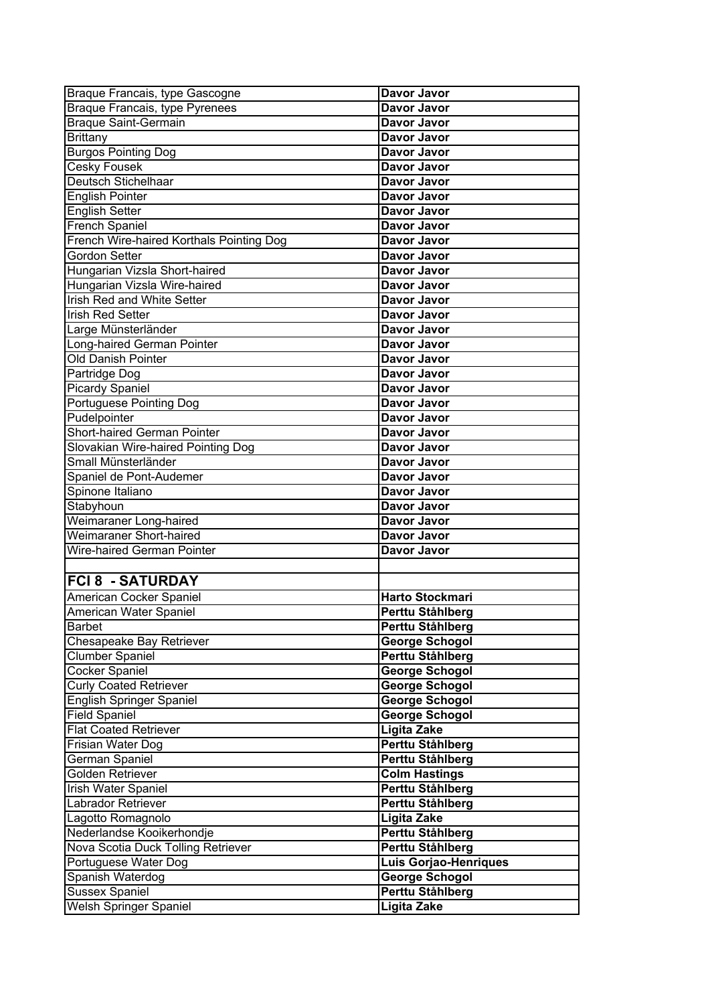| Braque Francais, type Gascogne           | Davor Javor                  |
|------------------------------------------|------------------------------|
| Braque Francais, type Pyrenees           | Davor Javor                  |
| <b>Braque Saint-Germain</b>              | Davor Javor                  |
| <b>Brittany</b>                          | Davor Javor                  |
| <b>Burgos Pointing Dog</b>               | Davor Javor                  |
| <b>Cesky Fousek</b>                      | Davor Javor                  |
| Deutsch Stichelhaar                      | Davor Javor                  |
| <b>English Pointer</b>                   | Davor Javor                  |
| English Setter                           | Davor Javor                  |
| <b>French Spaniel</b>                    | Davor Javor                  |
| French Wire-haired Korthals Pointing Dog | Davor Javor                  |
| <b>Gordon Setter</b>                     | Davor Javor                  |
| Hungarian Vizsla Short-haired            | Davor Javor                  |
| Hungarian Vizsla Wire-haired             | Davor Javor                  |
| <b>Irish Red and White Setter</b>        | Davor Javor                  |
| <b>Irish Red Setter</b>                  | Davor Javor                  |
| Large Münsterländer                      | Davor Javor                  |
| Long-haired German Pointer               | Davor Javor                  |
| Old Danish Pointer                       | Davor Javor                  |
| Partridge Dog                            | Davor Javor                  |
| <b>Picardy Spaniel</b>                   | Davor Javor                  |
| Portuguese Pointing Dog                  | Davor Javor                  |
| Pudelpointer                             | Davor Javor                  |
| <b>Short-haired German Pointer</b>       | Davor Javor                  |
| Slovakian Wire-haired Pointing Dog       | Davor Javor                  |
| Small Münsterländer                      | Davor Javor                  |
| Spaniel de Pont-Audemer                  | Davor Javor                  |
| Spinone Italiano                         | Davor Javor                  |
| Stabyhoun                                | Davor Javor                  |
| Weimaraner Long-haired                   | Davor Javor                  |
| <b>Weimaraner Short-haired</b>           | Davor Javor                  |
| <b>Wire-haired German Pointer</b>        | Davor Javor                  |
|                                          |                              |
| <b>FCI 8 - SATURDAY</b>                  |                              |
| American Cocker Spaniel                  | Harto Stockmari              |
| American Water Spaniel                   | Perttu Ståhlberg             |
| <b>Barbet</b>                            | Perttu Ståhlberg             |
| Chesapeake Bay Retriever                 | <b>George Schogol</b>        |
| Clumber Spaniel                          | Perttu Ståhlberg             |
| <b>Cocker Spaniel</b>                    | <b>George Schogol</b>        |
| <b>Curly Coated Retriever</b>            | <b>George Schogol</b>        |
| English Springer Spaniel                 | George Schogol               |
| <b>Field Spaniel</b>                     | <b>George Schogol</b>        |
| <b>Flat Coated Retriever</b>             | <b>Ligita Zake</b>           |
| Frisian Water Dog                        | Perttu Ståhlberg             |
| German Spaniel                           | Perttu Ståhlberg             |
| Golden Retriever                         | <b>Colm Hastings</b>         |
| <b>Irish Water Spaniel</b>               | Perttu Ståhlberg             |
| Labrador Retriever                       | Perttu Ståhlberg             |
| Lagotto Romagnolo                        | Ligita Zake                  |
| Nederlandse Kooikerhondje                | Perttu Ståhlberg             |
| Nova Scotia Duck Tolling Retriever       | Perttu Ståhlberg             |
| Portuguese Water Dog                     | <b>Luis Gorjao-Henriques</b> |
| Spanish Waterdog                         | <b>George Schogol</b>        |
| <b>Sussex Spaniel</b>                    | Perttu Ståhlberg             |
| <b>Welsh Springer Spaniel</b>            | <b>Ligita Zake</b>           |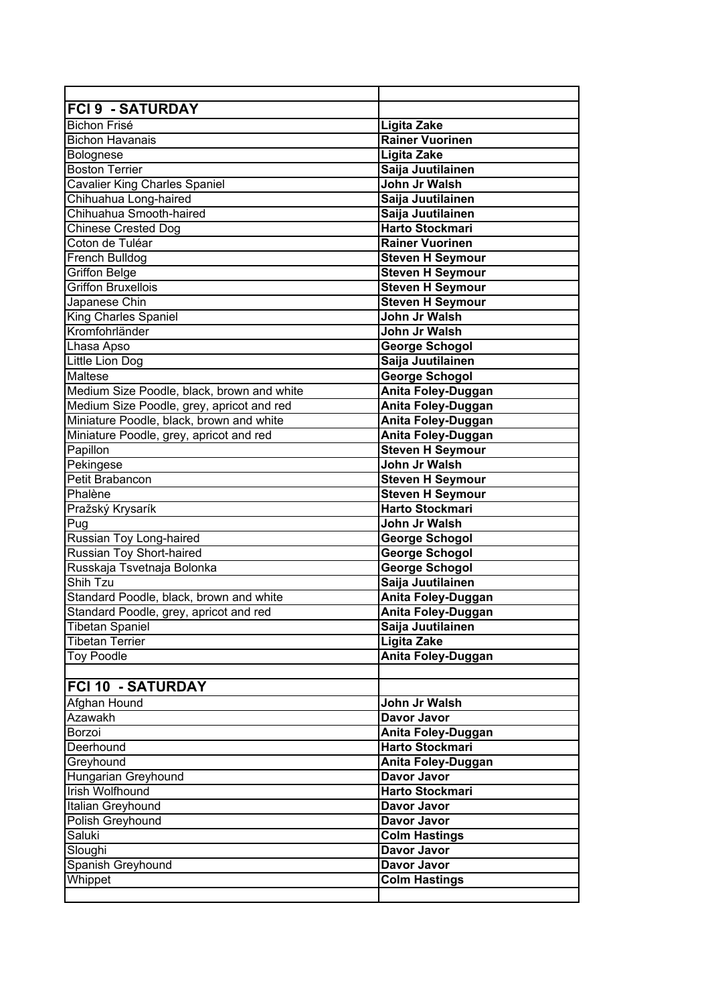| <b>FCI 9 - SATURDAY</b>                    |                           |
|--------------------------------------------|---------------------------|
| <b>Bichon Frisé</b>                        | <b>Ligita Zake</b>        |
| <b>Bichon Havanais</b>                     | <b>Rainer Vuorinen</b>    |
| Bolognese                                  | Ligita Zake               |
| <b>Boston Terrier</b>                      | Saija Juutilainen         |
| <b>Cavalier King Charles Spaniel</b>       | John Jr Walsh             |
| Chihuahua Long-haired                      | Saija Juutilainen         |
| Chihuahua Smooth-haired                    | Saija Juutilainen         |
| Chinese Crested Dog                        | <b>Harto Stockmari</b>    |
| Coton de Tuléar                            | <b>Rainer Vuorinen</b>    |
| French Bulldog                             | <b>Steven H Seymour</b>   |
| <b>Griffon Belge</b>                       | <b>Steven H Seymour</b>   |
| <b>Griffon Bruxellois</b>                  | <b>Steven H Seymour</b>   |
| Japanese Chin                              | <b>Steven H Seymour</b>   |
| <b>King Charles Spaniel</b>                | John Jr Walsh             |
| Kromfohrländer                             | John Jr Walsh             |
| Lhasa Apso                                 | <b>George Schogol</b>     |
| Little Lion Dog                            | Saija Juutilainen         |
| Maltese                                    | George Schogol            |
| Medium Size Poodle, black, brown and white | Anita Foley-Duggan        |
| Medium Size Poodle, grey, apricot and red  | Anita Foley-Duggan        |
| Miniature Poodle, black, brown and white   | Anita Foley-Duggan        |
| Miniature Poodle, grey, apricot and red    | Anita Foley-Duggan        |
| Papillon                                   | <b>Steven H Seymour</b>   |
| Pekingese                                  | John Jr Walsh             |
| Petit Brabancon                            | <b>Steven H Seymour</b>   |
| Phalène                                    | <b>Steven H Seymour</b>   |
| Pražský Krysarík                           | <b>Harto Stockmari</b>    |
| Pug                                        | John Jr Walsh             |
| Russian Toy Long-haired                    | <b>George Schogol</b>     |
| <b>Russian Toy Short-haired</b>            | <b>George Schogol</b>     |
| Russkaja Tsvetnaja Bolonka                 | George Schogol            |
| Shih Tzu                                   | Saija Juutilainen         |
| Standard Poodle, black, brown and white    | <b>Anita Foley-Duggan</b> |
| Standard Poodle, grey, apricot and red     | Anita Foley-Duggan        |
| <b>Tibetan Spaniel</b>                     | Saija Juutilainen         |
| <b>Tibetan Terrier</b>                     | Ligita Zake               |
| <b>Toy Poodle</b>                          | Anita Foley-Duggan        |
|                                            |                           |
| <b>FCI 10 - SATURDAY</b>                   |                           |
| Afghan Hound                               | John Jr Walsh             |
| Azawakh                                    | Davor Javor               |
| <b>Borzoi</b>                              | Anita Foley-Duggan        |
| Deerhound                                  | <b>Harto Stockmari</b>    |
| Greyhound                                  | Anita Foley-Duggan        |
| Hungarian Greyhound                        | Davor Javor               |
| <b>Irish Wolfhound</b>                     | <b>Harto Stockmari</b>    |
| Italian Greyhound                          | Davor Javor               |
| Polish Greyhound                           | <b>Davor Javor</b>        |
| Saluki                                     | <b>Colm Hastings</b>      |
| Sloughi                                    | <b>Davor Javor</b>        |
| Spanish Greyhound                          | Davor Javor               |
| Whippet                                    | <b>Colm Hastings</b>      |
|                                            |                           |